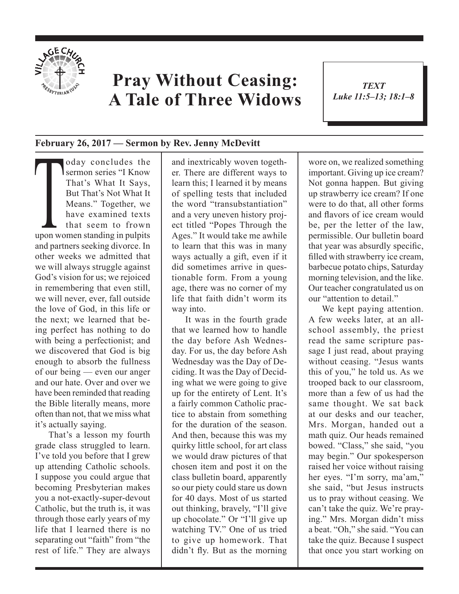

## **Pray Without Ceasing: A Tale of Three Widows**

*TEXT Luke 11:5–13; 18:1–8*

1

## **February 26, 2017 — Sermon by Rev. Jenny McDevitt**

Today concludes the<br>
sermon series "I Know<br>
That's What It Says,<br>
But That's Not What It<br>
Means." Together, we<br>
have examined texts<br>
that seem to frown<br>
upon women standing in pulpits sermon series "I Know That's What It Says, But That's Not What It Means." Together, we have examined texts that seem to frown and partners seeking divorce. In other weeks we admitted that we will always struggle against God's vision for us; we rejoiced in remembering that even still, we will never, ever, fall outside the love of God, in this life or the next; we learned that being perfect has nothing to do with being a perfectionist; and we discovered that God is big enough to absorb the fullness of our being — even our anger and our hate. Over and over we have been reminded that reading the Bible literally means, more often than not, that we miss what it's actually saying.

That's a lesson my fourth grade class struggled to learn. I've told you before that I grew up attending Catholic schools. I suppose you could argue that becoming Presbyterian makes you a not-exactly-super-devout Catholic, but the truth is, it was through those early years of my life that I learned there is no separating out "faith" from "the rest of life." They are always

and inextricably woven together. There are different ways to learn this; I learned it by means of spelling tests that included the word "transubstantiation" and a very uneven history project titled "Popes Through the Ages." It would take me awhile to learn that this was in many ways actually a gift, even if it did sometimes arrive in questionable form. From a young age, there was no corner of my life that faith didn't worm its way into.

It was in the fourth grade that we learned how to handle the day before Ash Wednesday. For us, the day before Ash Wednesday was the Day of Deciding. It was the Day of Deciding what we were going to give up for the entirety of Lent. It's a fairly common Catholic practice to abstain from something for the duration of the season. And then, because this was my quirky little school, for art class we would draw pictures of that chosen item and post it on the class bulletin board, apparently so our piety could stare us down for 40 days. Most of us started out thinking, bravely, "I'll give up chocolate." Or "I'll give up watching TV." One of us tried to give up homework. That didn't fly. But as the morning

wore on, we realized something important. Giving up ice cream? Not gonna happen. But giving up strawberry ice cream? If one were to do that, all other forms and flavors of ice cream would be, per the letter of the law, permissible. Our bulletin board that year was absurdly specific, filled with strawberry ice cream, barbecue potato chips, Saturday morning television, and the like. Our teacher congratulated us on our "attention to detail."

We kept paying attention. A few weeks later, at an allschool assembly, the priest read the same scripture passage I just read, about praying without ceasing. "Jesus wants this of you," he told us. As we trooped back to our classroom, more than a few of us had the same thought. We sat back at our desks and our teacher, Mrs. Morgan, handed out a math quiz. Our heads remained bowed. "Class," she said, "you may begin." Our spokesperson raised her voice without raising her eyes. "I'm sorry, ma'am," she said, "but Jesus instructs us to pray without ceasing. We can't take the quiz. We're praying." Mrs. Morgan didn't miss a beat. "Oh," she said. "You can take the quiz. Because I suspect that once you start working on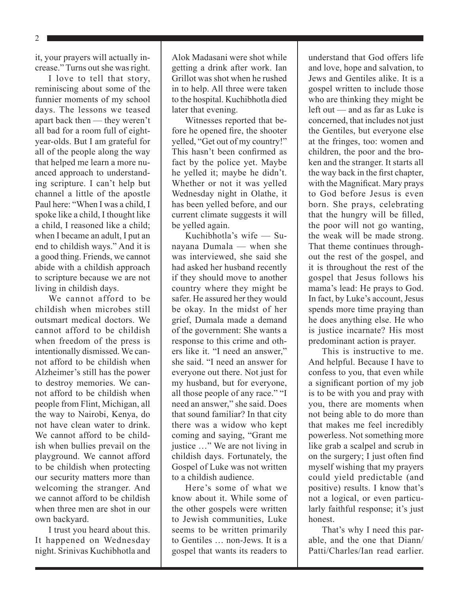2

it, your prayers will actually increase." Turns out she was right.

I love to tell that story, reminiscing about some of the funnier moments of my school days. The lessons we teased apart back then — they weren't all bad for a room full of eightyear-olds. But I am grateful for all of the people along the way that helped me learn a more nuanced approach to understanding scripture. I can't help but channel a little of the apostle Paul here: "When I was a child, I spoke like a child, I thought like a child, I reasoned like a child; when I became an adult, I put an end to childish ways." And it is a good thing. Friends, we cannot abide with a childish approach to scripture because we are not living in childish days.

We cannot afford to be childish when microbes still outsmart medical doctors. We cannot afford to be childish when freedom of the press is intentionally dismissed. We cannot afford to be childish when Alzheimer's still has the power to destroy memories. We cannot afford to be childish when people from Flint, Michigan, all the way to Nairobi, Kenya, do not have clean water to drink. We cannot afford to be childish when bullies prevail on the playground. We cannot afford to be childish when protecting our security matters more than welcoming the stranger. And we cannot afford to be childish when three men are shot in our own backyard.

I trust you heard about this. It happened on Wednesday night. Srinivas Kuchibhotla and Alok Madasani were shot while getting a drink after work. Ian Grillot was shot when he rushed in to help. All three were taken to the hospital. Kuchibhotla died later that evening.

Witnesses reported that before he opened fire, the shooter yelled, "Get out of my country!" This hasn't been confirmed as fact by the police yet. Maybe he yelled it; maybe he didn't. Whether or not it was yelled Wednesday night in Olathe, it has been yelled before, and our current climate suggests it will be yelled again.

Kuchibhotla's wife — Sunayana Dumala — when she was interviewed, she said she had asked her husband recently if they should move to another country where they might be safer. He assured her they would be okay. In the midst of her grief, Dumala made a demand of the government: She wants a response to this crime and others like it. "I need an answer," she said. "I need an answer for everyone out there. Not just for my husband, but for everyone, all those people of any race." "I need an answer," she said. Does that sound familiar? In that city there was a widow who kept coming and saying, "Grant me justice …" We are not living in childish days. Fortunately, the Gospel of Luke was not written to a childish audience.

Here's some of what we know about it. While some of the other gospels were written to Jewish communities, Luke seems to be written primarily to Gentiles … non-Jews. It is a gospel that wants its readers to understand that God offers life and love, hope and salvation, to Jews and Gentiles alike. It is a gospel written to include those who are thinking they might be left out — and as far as Luke is concerned, that includes not just the Gentiles, but everyone else at the fringes, too: women and children, the poor and the broken and the stranger. It starts all the way back in the first chapter, with the Magnificat. Mary prays to God before Jesus is even born. She prays, celebrating that the hungry will be filled, the poor will not go wanting, the weak will be made strong. That theme continues throughout the rest of the gospel, and it is throughout the rest of the gospel that Jesus follows his mama's lead: He prays to God. In fact, by Luke's account, Jesus spends more time praying than he does anything else. He who is justice incarnate? His most predominant action is prayer.

This is instructive to me. And helpful. Because I have to confess to you, that even while a significant portion of my job is to be with you and pray with you, there are moments when not being able to do more than that makes me feel incredibly powerless. Not something more like grab a scalpel and scrub in on the surgery; I just often find myself wishing that my prayers could yield predictable (and positive) results. I know that's not a logical, or even particularly faithful response; it's just honest.

That's why I need this parable, and the one that Diann/ Patti/Charles/Ian read earlier.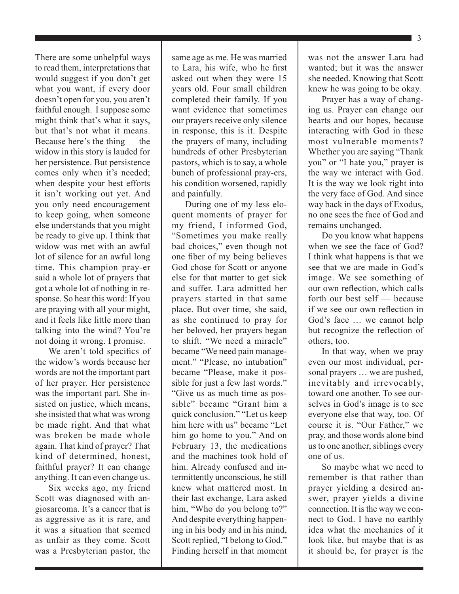There are some unhelpful ways to read them, interpretations that would suggest if you don't get what you want, if every door doesn't open for you, you aren't faithful enough. I suppose some might think that's what it says, but that's not what it means. Because here's the thing — the widow in this story is lauded for her persistence. But persistence comes only when it's needed; when despite your best efforts it isn't working out yet. And you only need encouragement to keep going, when someone else understands that you might be ready to give up. I think that widow was met with an awful lot of silence for an awful long time. This champion pray-er said a whole lot of prayers that got a whole lot of nothing in response. So hear this word: If you are praying with all your might, and it feels like little more than talking into the wind? You're not doing it wrong. I promise.

We aren't told specifics of the widow's words because her words are not the important part of her prayer. Her persistence was the important part. She insisted on justice, which means, she insisted that what was wrong be made right. And that what was broken be made whole again. That kind of prayer? That kind of determined, honest, faithful prayer? It can change anything. It can even change us.

Six weeks ago, my friend Scott was diagnosed with angiosarcoma. It's a cancer that is as aggressive as it is rare, and it was a situation that seemed as unfair as they come. Scott was a Presbyterian pastor, the

same age as me. He was married to Lara, his wife, who he first asked out when they were 15 years old. Four small children completed their family. If you want evidence that sometimes our prayers receive only silence in response, this is it. Despite the prayers of many, including hundreds of other Presbyterian pastors, which is to say, a whole bunch of professional pray-ers, his condition worsened, rapidly and painfully.

During one of my less eloquent moments of prayer for my friend, I informed God, "Sometimes you make really bad choices," even though not one fiber of my being believes God chose for Scott or anyone else for that matter to get sick and suffer. Lara admitted her prayers started in that same place. But over time, she said, as she continued to pray for her beloved, her prayers began to shift. "We need a miracle" became "We need pain management." "Please, no intubation" became "Please, make it possible for just a few last words." "Give us as much time as possible" became "Grant him a quick conclusion." "Let us keep him here with us" became "Let him go home to you." And on February 13, the medications and the machines took hold of him. Already confused and intermittently unconscious, he still knew what mattered most. In their last exchange, Lara asked him, "Who do you belong to?" And despite everything happening in his body and in his mind, Scott replied, "I belong to God." Finding herself in that moment

was not the answer Lara had wanted; but it was the answer she needed. Knowing that Scott knew he was going to be okay.

Prayer has a way of changing us. Prayer can change our hearts and our hopes, because interacting with God in these most vulnerable moments? Whether you are saying "Thank you" or "I hate you," prayer is the way we interact with God. It is the way we look right into the very face of God. And since way back in the days of Exodus, no one sees the face of God and remains unchanged.

Do you know what happens when we see the face of God? I think what happens is that we see that we are made in God's image. We see something of our own reflection, which calls forth our best self — because if we see our own reflection in God's face … we cannot help but recognize the reflection of others, too.

In that way, when we pray even our most individual, personal prayers … we are pushed, inevitably and irrevocably, toward one another. To see ourselves in God's image is to see everyone else that way, too. Of course it is. "Our Father," we pray, and those words alone bind us to one another, siblings every one of us.

So maybe what we need to remember is that rather than prayer yielding a desired answer, prayer yields a divine connection. It is the way we connect to God. I have no earthly idea what the mechanics of it look like, but maybe that is as it should be, for prayer is the